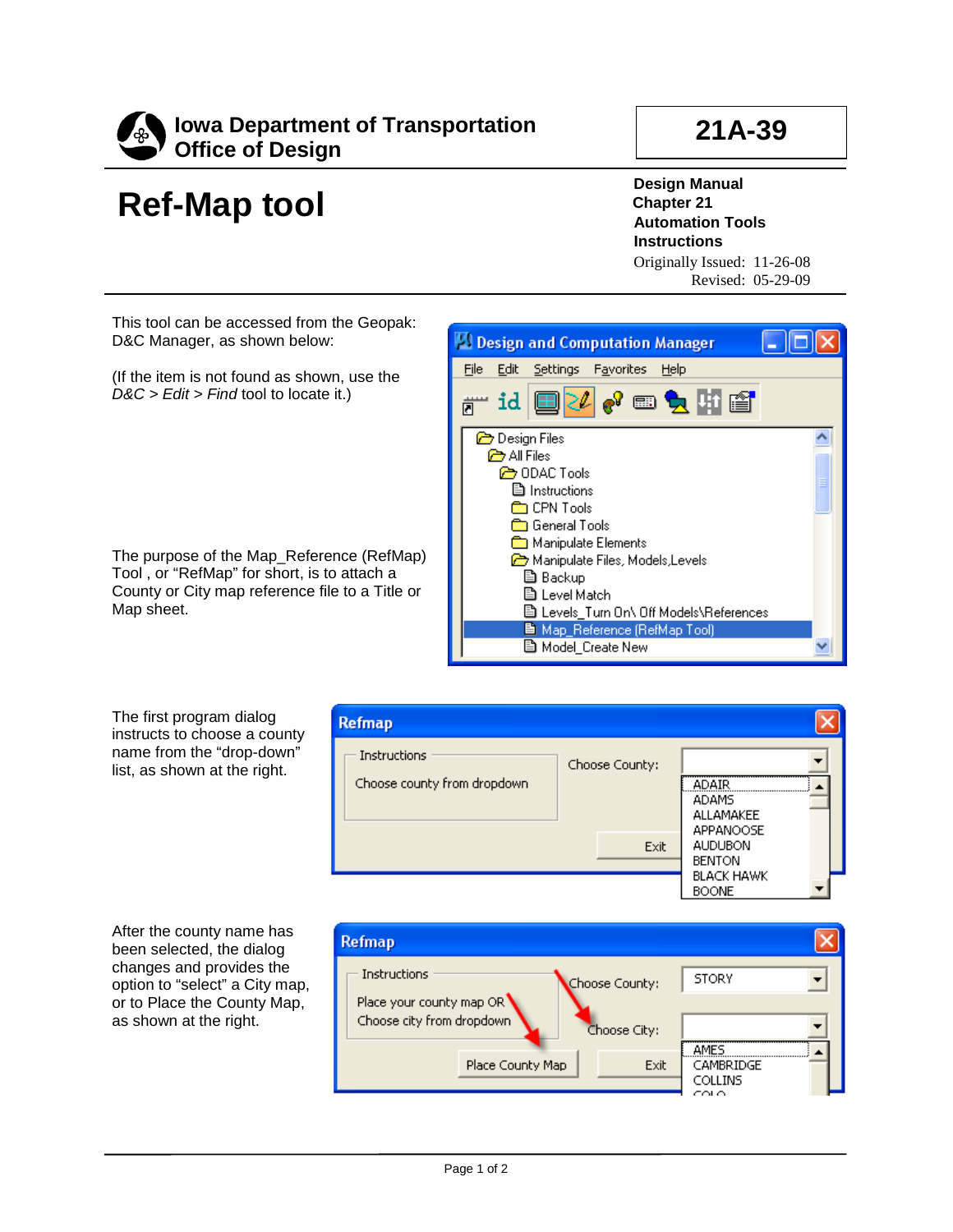

## **Ref-Map tool**

**21A-39**

**Design Manual Chapter 21 Automation Tools Instructions** Originally Issued: 11-26-08

Revised: 05-29-09

This tool can be accessed from the Geopak: D&C Manager, as shown below:

(If the item is not found as shown, use the *D&C > Edit > Find* tool to locate it.)

The purpose of the Map\_Reference (RefMap) Tool , or "RefMap" for short, is to attach a County or City map reference file to a Title or Map sheet.



The first program dialog instructs to choose a county name from the "drop-down" list, as shown at the right.



After the county name has been selected, the dialog changes and provides the option to "select" a City map, or to Place the County Map, as shown at the right.